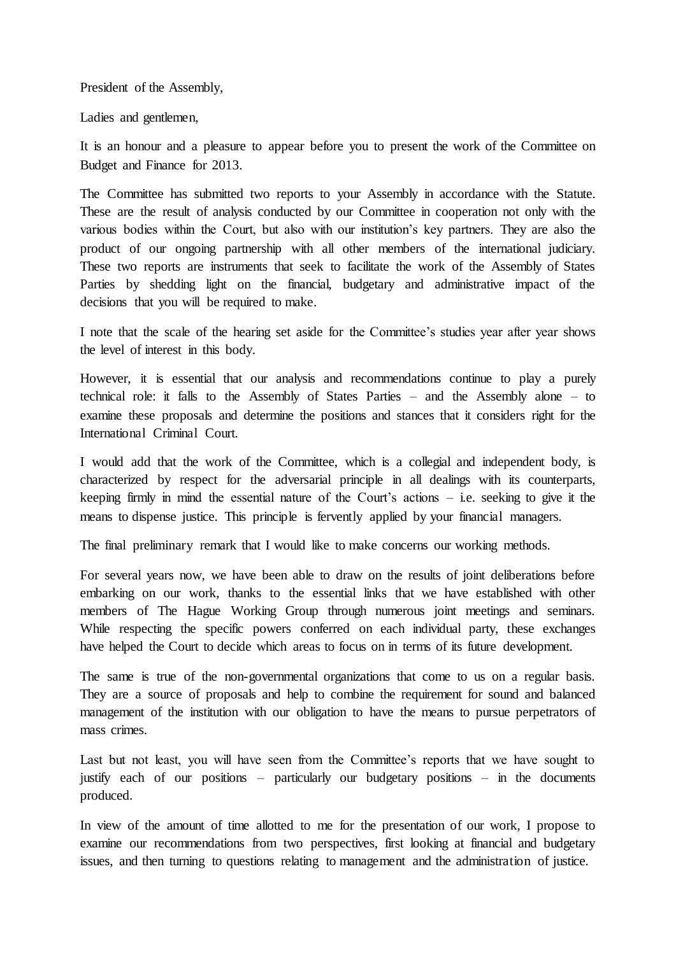President of the Assembly,

Ladies and gentlemen,

It is an honour and a pleasure to appear before you to present the work of the Committee on Budget and Finance for 2013.

The Committee has submitted two reports to your Assembly in accordance with the Statute. These are the result of analysis conducted by our Committee in cooperation not only with the various bodies within the Court, but also with our institution's key partners. They are also the product of our ongoing partnership with all other members of the international judiciary. These two reports are instruments that seek to facilitate the work of the Assembly of States Parties by shedding light on the financial, budgetary and administrative impact of the decisions that you will be required to make.

I note that the scale of the hearing set aside for the Committee's studies year after year shows the level of interest in this body.

However, it is essential that our analysis and recommendations continue to play a purely technical role: it falls to the Assembly of States Parties – and the Assembly alone – to examine these proposals and determine the positions and stances that it considers right for the International Criminal Court.

I would add that the work of the Committee, which is a collegial and independent body, is characterized by respect for the adversarial principle in all dealings with its counterparts, keeping firmly in mind the essential nature of the Court's actions  $-$  i.e. seeking to give it the means to dispense justice. This principle is fervently applied by your financial managers.

The final preliminary remark that I would like to make concerns our working methods.

For several years now, we have been able to draw on the results of joint deliberations before embarking on our work, thanks to the essential links that we have established with other members of The Hague Working Group through numerous joint meetings and seminars. While respecting the specific powers conferred on each individual party, these exchanges have helped the Court to decide which areas to focus on in terms of its future development.

The same is true of the non-governmental organizations that come to us on a regular basis. They are a source of proposals and help to combine the requirement for sound and balanced management of the institution with our obligation to have the means to pursue perpetrators of mass crimes.

Last but not least, you will have seen from the Committee's reports that we have sought to justify each of our positions – particularly our budgetary positions – in the documents produced.

In view of the amount of time allotted to me for the presentation of our work, I propose to examine our recommendations from two perspectives, first looking at financial and budgetary issues, and then turning to questions relating to management and the administration of justice.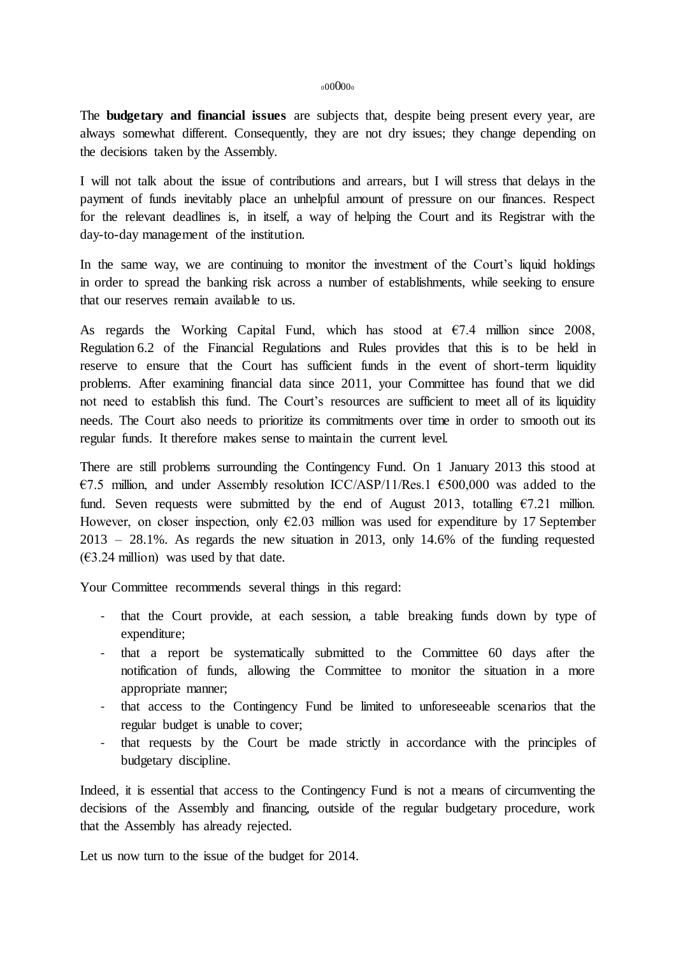## 00000<sub>0</sub>

The **budgetary and financial issues** are subjects that, despite being present every year, are always somewhat different. Consequently, they are not dry issues; they change depending on the decisions taken by the Assembly.

I will not talk about the issue of contributions and arrears, but I will stress that delays in the payment of funds inevitably place an unhelpful amount of pressure on our finances. Respect for the relevant deadlines is, in itself, a way of helping the Court and its Registrar with the day-to-day management of the institution.

In the same way, we are continuing to monitor the investment of the Court's liquid holdings in order to spread the banking risk across a number of establishments, while seeking to ensure that our reserves remain available to us.

As regards the Working Capital Fund, which has stood at  $\epsilon$ 7.4 million since 2008, Regulation 6.2 of the Financial Regulations and Rules provides that this is to be held in reserve to ensure that the Court has sufficient funds in the event of short-term liquidity problems. After examining financial data since 2011, your Committee has found that we did not need to establish this fund. The Court's resources are sufficient to meet all of its liquidity needs. The Court also needs to prioritize its commitments over time in order to smooth out its regular funds. It therefore makes sense to maintain the current level.

There are still problems surrounding the Contingency Fund. On 1 January 2013 this stood at €7.5 million, and under Assembly resolution ICC/ASP/11/Res.1 €500,000 was added to the fund. Seven requests were submitted by the end of August 2013, totalling  $\epsilon$ 7.21 million. However, on closer inspection, only  $E2.03$  million was used for expenditure by 17 September 2013 – 28.1%. As regards the new situation in 2013, only 14.6% of the funding requested  $(63.24 \text{ million})$  was used by that date.

Your Committee recommends several things in this regard:

- that the Court provide, at each session, a table breaking funds down by type of expenditure;
- that a report be systematically submitted to the Committee 60 days after the notification of funds, allowing the Committee to monitor the situation in a more appropriate manner;
- that access to the Contingency Fund be limited to unforeseeable scenarios that the regular budget is unable to cover;
- that requests by the Court be made strictly in accordance with the principles of budgetary discipline.

Indeed, it is essential that access to the Contingency Fund is not a means of circumventing the decisions of the Assembly and financing, outside of the regular budgetary procedure, work that the Assembly has already rejected.

Let us now turn to the issue of the budget for 2014.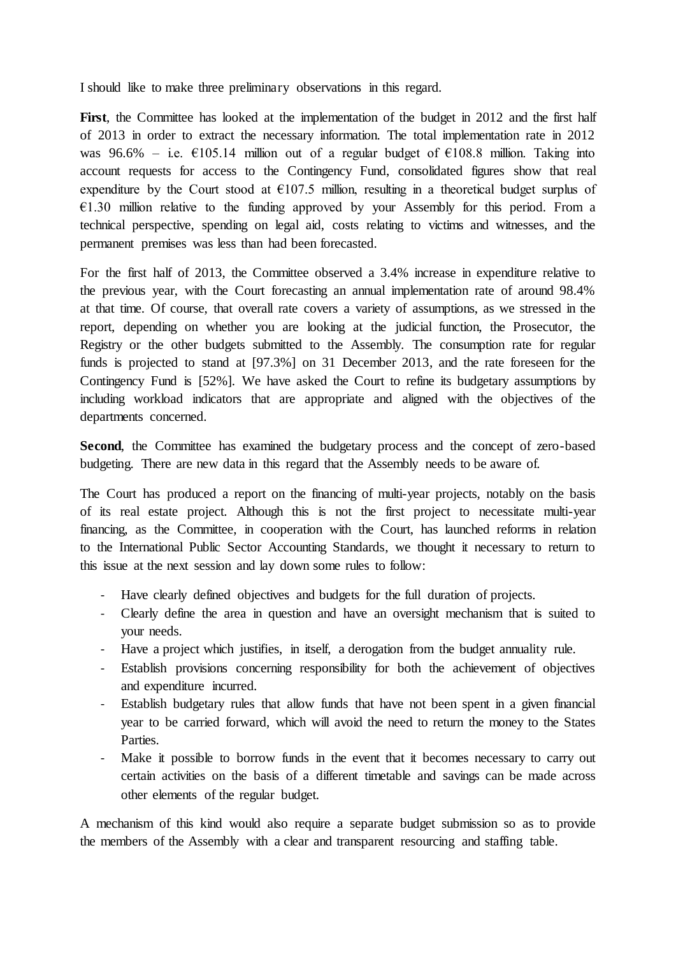I should like to make three preliminary observations in this regard.

First, the Committee has looked at the implementation of the budget in 2012 and the first half of 2013 in order to extract the necessary information. The total implementation rate in 2012 was 96.6% – i.e.  $\epsilon$ 105.14 million out of a regular budget of  $\epsilon$ 108.8 million. Taking into account requests for access to the Contingency Fund, consolidated figures show that real expenditure by the Court stood at  $\epsilon$ 107.5 million, resulting in a theoretical budget surplus of  $€1.30$  million relative to the funding approved by your Assembly for this period. From a technical perspective, spending on legal aid, costs relating to victims and witnesses, and the permanent premises was less than had been forecasted.

For the first half of 2013, the Committee observed a 3.4% increase in expenditure relative to the previous year, with the Court forecasting an annual implementation rate of around 98.4% at that time. Of course, that overall rate covers a variety of assumptions, as we stressed in the report, depending on whether you are looking at the judicial function, the Prosecutor, the Registry or the other budgets submitted to the Assembly. The consumption rate for regular funds is projected to stand at [97.3%] on 31 December 2013, and the rate foreseen for the Contingency Fund is [52%]. We have asked the Court to refine its budgetary assumptions by including workload indicators that are appropriate and aligned with the objectives of the departments concerned.

Second, the Committee has examined the budgetary process and the concept of zero-based budgeting. There are new data in this regard that the Assembly needs to be aware of.

The Court has produced a report on the financing of multi-year projects, notably on the basis of its real estate project. Although this is not the first project to necessitate multi-year financing, as the Committee, in cooperation with the Court, has launched reforms in relation to the International Public Sector Accounting Standards, we thought it necessary to return to this issue at the next session and lay down some rules to follow:

- Have clearly defined objectives and budgets for the full duration of projects.
- Clearly define the area in question and have an oversight mechanism that is suited to your needs.
- Have a project which justifies, in itself, a derogation from the budget annuality rule.
- Establish provisions concerning responsibility for both the achievement of objectives and expenditure incurred.
- Establish budgetary rules that allow funds that have not been spent in a given financial year to be carried forward, which will avoid the need to return the money to the States Parties.
- Make it possible to borrow funds in the event that it becomes necessary to carry out certain activities on the basis of a different timetable and savings can be made across other elements of the regular budget.

A mechanism of this kind would also require a separate budget submission so as to provide the members of the Assembly with a clear and transparent resourcing and staffing table.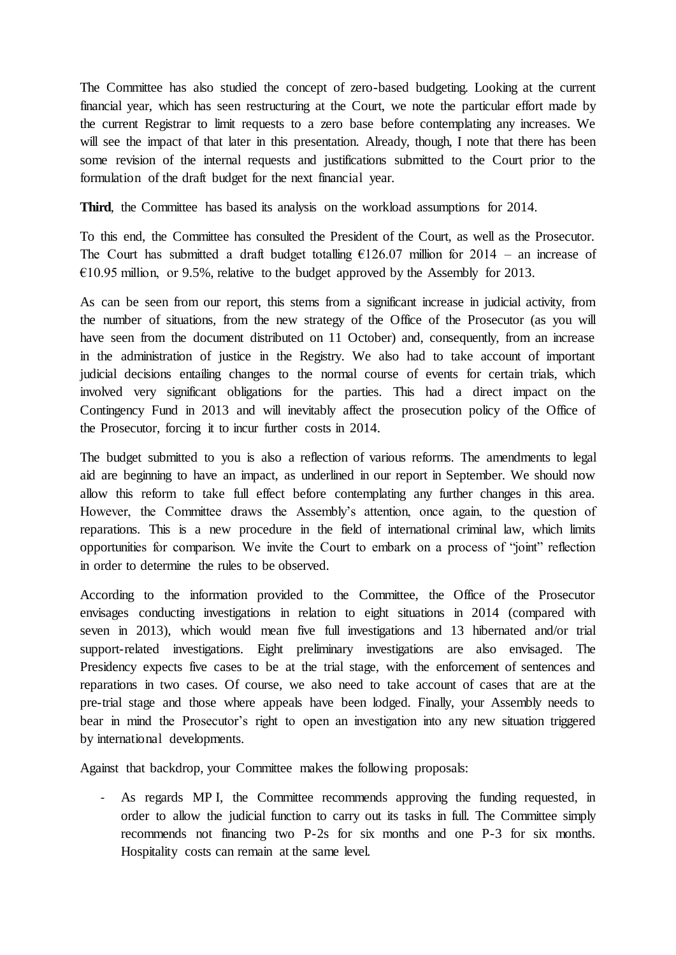The Committee has also studied the concept of zero-based budgeting. Looking at the current financial year, which has seen restructuring at the Court, we note the particular effort made by the current Registrar to limit requests to a zero base before contemplating any increases. We will see the impact of that later in this presentation. Already, though, I note that there has been some revision of the internal requests and justifications submitted to the Court prior to the formulation of the draft budget for the next financial year.

**Third**, the Committee has based its analysis on the workload assumptions for 2014.

To this end, the Committee has consulted the President of the Court, as well as the Prosecutor. The Court has submitted a draft budget totalling  $\epsilon$ 126.07 million for 2014 – an increase of  $\epsilon$ 10.95 million, or 9.5%, relative to the budget approved by the Assembly for 2013.

As can be seen from our report, this stems from a significant increase in judicial activity, from the number of situations, from the new strategy of the Office of the Prosecutor (as you will have seen from the document distributed on 11 October) and, consequently, from an increase in the administration of justice in the Registry. We also had to take account of important judicial decisions entailing changes to the normal course of events for certain trials, which involved very significant obligations for the parties. This had a direct impact on the Contingency Fund in 2013 and will inevitably affect the prosecution policy of the Office of the Prosecutor, forcing it to incur further costs in 2014.

The budget submitted to you is also a reflection of various reforms. The amendments to legal aid are beginning to have an impact, as underlined in our report in September. We should now allow this reform to take full effect before contemplating any further changes in this area. However, the Committee draws the Assembly's attention, once again, to the question of reparations. This is a new procedure in the field of international criminal law, which limits opportunities for comparison. We invite the Court to embark on a process of "joint" reflection in order to determine the rules to be observed.

According to the information provided to the Committee, the Office of the Prosecutor envisages conducting investigations in relation to eight situations in 2014 (compared with seven in 2013), which would mean five full investigations and 13 hibernated and/or trial support-related investigations. Eight preliminary investigations are also envisaged. The Presidency expects five cases to be at the trial stage, with the enforcement of sentences and reparations in two cases. Of course, we also need to take account of cases that are at the pre-trial stage and those where appeals have been lodged. Finally, your Assembly needs to bear in mind the Prosecutor's right to open an investigation into any new situation triggered by international developments.

Against that backdrop, your Committee makes the following proposals:

- As regards MP I, the Committee recommends approving the funding requested, in order to allow the judicial function to carry out its tasks in full. The Committee simply recommends not financing two P-2s for six months and one P-3 for six months. Hospitality costs can remain at the same level.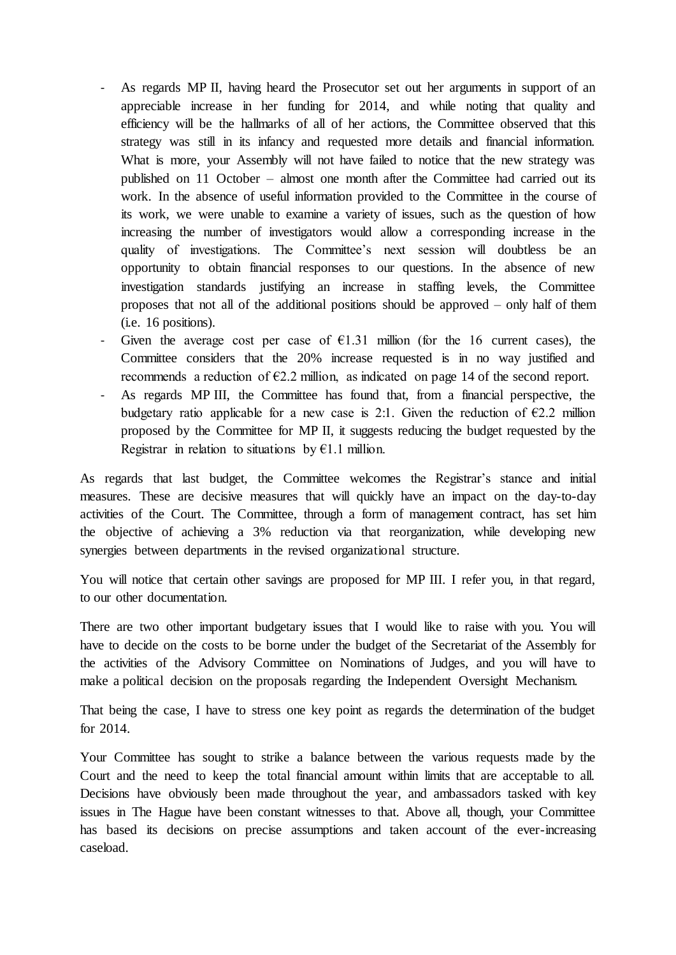- As regards MP II, having heard the Prosecutor set out her arguments in support of an appreciable increase in her funding for 2014, and while noting that quality and efficiency will be the hallmarks of all of her actions, the Committee observed that this strategy was still in its infancy and requested more details and financial information. What is more, your Assembly will not have failed to notice that the new strategy was published on 11 October – almost one month after the Committee had carried out its work. In the absence of useful information provided to the Committee in the course of its work, we were unable to examine a variety of issues, such as the question of how increasing the number of investigators would allow a corresponding increase in the quality of investigations. The Committee's next session will doubtless be an opportunity to obtain financial responses to our questions. In the absence of new investigation standards justifying an increase in staffing levels, the Committee proposes that not all of the additional positions should be approved – only half of them (i.e. 16 positions).
- Given the average cost per case of  $E1.31$  million (for the 16 current cases), the Committee considers that the 20% increase requested is in no way justified and recommends a reduction of  $E2.2$  million, as indicated on page 14 of the second report.
- As regards MP III, the Committee has found that, from a financial perspective, the budgetary ratio applicable for a new case is 2:1. Given the reduction of  $\epsilon$ 2.2 million proposed by the Committee for MP II, it suggests reducing the budget requested by the Registrar in relation to situations by  $E1.1$  million.

As regards that last budget, the Committee welcomes the Registrar's stance and initial measures. These are decisive measures that will quickly have an impact on the day-to-day activities of the Court. The Committee, through a form of management contract, has set him the objective of achieving a 3% reduction via that reorganization, while developing new synergies between departments in the revised organizational structure.

You will notice that certain other savings are proposed for MP III. I refer you, in that regard, to our other documentation.

There are two other important budgetary issues that I would like to raise with you. You will have to decide on the costs to be borne under the budget of the Secretariat of the Assembly for the activities of the Advisory Committee on Nominations of Judges, and you will have to make a political decision on the proposals regarding the Independent Oversight Mechanism.

That being the case, I have to stress one key point as regards the determination of the budget for 2014.

Your Committee has sought to strike a balance between the various requests made by the Court and the need to keep the total financial amount within limits that are acceptable to all. Decisions have obviously been made throughout the year, and ambassadors tasked with key issues in The Hague have been constant witnesses to that. Above all, though, your Committee has based its decisions on precise assumptions and taken account of the ever-increasing caseload.